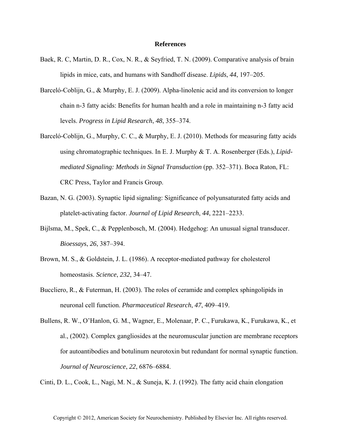## **References**

- Baek, R. C, Martin, D. R., Cox, N. R., & Seyfried, T. N. (2009). Comparative analysis of brain lipids in mice, cats, and humans with Sandhoff disease. *Lipids*, *44*, 197–205.
- Barceló-Coblijn, G., & Murphy, E. J. (2009). Alpha-linolenic acid and its conversion to longer chain n-3 fatty acids: Benefits for human health and a role in maintaining n-3 fatty acid levels. *Progress in Lipid Research*, *48*, 355–374.
- Barceló-Coblijn, G., Murphy, C. C., & Murphy, E. J. (2010). Methods for measuring fatty acids using chromatographic techniques. In E. J. Murphy & T. A. Rosenberger (Eds.), *Lipidmediated Signaling: Methods in Signal Transduction* (pp. 352–371). Boca Raton, FL: CRC Press, Taylor and Francis Group.
- Bazan, N. G. (2003). Synaptic lipid signaling: Significance of polyunsaturated fatty acids and platelet-activating factor. *Journal of Lipid Research*, *44*, 2221–2233.
- Bijlsma, M., Spek, C., & Pepplenbosch, M. (2004). Hedgehog: An unusual signal transducer. *Bioessays*, *26*, 387–394.
- Brown, M. S., & Goldstein, J. L. (1986). A receptor-mediated pathway for cholesterol homeostasis. *Science*, *232*, 34–47.
- Buccliero, R., & Futerman, H. (2003). The roles of ceramide and complex sphingolipids in neuronal cell function. *Pharmaceutical Research*, *47*, 409–419.
- Bullens, R. W., O'Hanlon, G. M., Wagner, E., Molenaar, P. C., Furukawa, K., Furukawa, K., et al., (2002). Complex gangliosides at the neuromuscular junction are membrane receptors for autoantibodies and botulinum neurotoxin but redundant for normal synaptic function. *Journal of Neuroscience*, *22*, 6876–6884.

Cinti, D. L., Cook, L., Nagi, M. N., & Suneja, K. J. (1992). The fatty acid chain elongation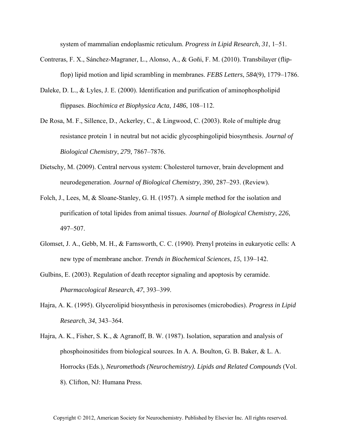system of mammalian endoplasmic reticulum. *Progress in Lipid Research*, *31*, 1–51.

- Contreras, F. X., Sánchez-Magraner, L., Alonso, A., & Goñi, F. M. (2010). Transbilayer (flipflop) lipid motion and lipid scrambling in membranes. *FEBS Letters*, *584*(9), 1779–1786.
- Daleke, D. L., & Lyles, J. E. (2000). Identification and purification of aminophospholipid flippases. *Biochimica et Biophysica Acta*, *1486*, 108–112.
- De Rosa, M. F., Sillence, D., Ackerley, C., & Lingwood, C. (2003). Role of multiple drug resistance protein 1 in neutral but not acidic glycosphingolipid biosynthesis. *Journal of Biological Chemistry*, *279*, 7867–7876.
- Dietschy, M. (2009). Central nervous system: Cholesterol turnover, brain development and neurodegeneration. *Journal of Biological Chemistry*, *390*, 287–293. (Review).
- Folch, J., Lees, M, & Sloane-Stanley, G. H. (1957). A simple method for the isolation and purification of total lipides from animal tissues. *Journal of Biological Chemistry*, *226*, 497–507.
- Glomset, J. A., Gebb, M. H., & Farnsworth, C. C. (1990). Prenyl proteins in eukaryotic cells: A new type of membrane anchor. *Trends in Biochemical Sciences*, *15*, 139–142.
- Gulbins, E. (2003). Regulation of death receptor signaling and apoptosis by ceramide. *Pharmacological Research*, *47*, 393–399.
- Hajra, A. K. (1995). Glycerolipid biosynthesis in peroxisomes (microbodies). *Progress in Lipid Research*, *34*, 343–364.
- Hajra, A. K., Fisher, S. K., & Agranoff, B. W. (1987). Isolation, separation and analysis of phosphoinositides from biological sources. In A. A. Boulton, G. B. Baker, & L. A. Horrocks (Eds.), *Neuromethods (Neurochemistry). Lipids and Related Compounds* (Vol. 8). Clifton, NJ: Humana Press.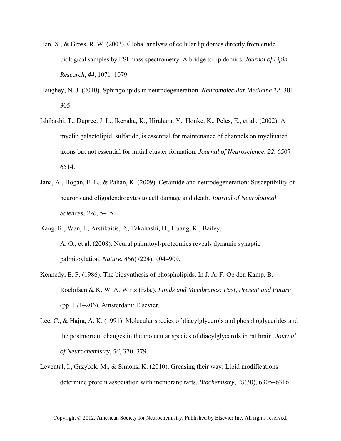- Han, X., & Gross, R. W. (2003). Global analysis of cellular lipidomes directly from crude biological samples by ESI mass spectrometry: A bridge to lipidomics. *Journal of Lipid Research*, *44*, 1071–1079.
- Haughey, N. J. (2010). Sphingolipids in neurodegeneration. *Neuromolecular Medicine 12,* 301– 305.
- Ishibashi, T., Dupree, J. L., Ikenaka, K., Hirahara, Y., Honke, K., Peles, E., et al., (2002). A myelin galactolipid, sulfatide, is essential for maintenance of channels on myelinated axons but not essential for initial cluster formation. *Journal of Neuroscience*, *22*, 6507– 6514.
- Jana, A., Hogan, E. L., & Pahan, K. (2009). Ceramide and neurodegeneration: Susceptibility of neurons and oligodendrocytes to cell damage and death. *Journal of Neurological Sciences*, *278*, 5–15.
- Kang, R., Wan, J., Arstikaitis, P., Takahashi, H., Huang, K., Bailey, A. O., et al. (2008). Neural palmitoyl-proteomics reveals dynamic synaptic palmitoylation. *Nature*, *456*(7224), 904–909.
- Kennedy, E. P. (1986). The biosynthesis of phospholipids. In J. A. F. Op den Kamp, B. Roelofsen & K. W. A. Wirtz (Eds.), *Lipids and Membranes: Past, Present and Future* (pp. 171–206). Amsterdam: Elsevier.
- Lee, C., & Hajra, A. K. (1991). Molecular species of diacylglycerols and phosphoglycerides and the postmortem changes in the molecular species of diacylglycerols in rat brain. *Journal of Neurochemistry*, *56*, 370–379.
- Levental, I., Grzybek, M., & Simons, K. (2010). Greasing their way: Lipid modifications determine protein association with membrane rafts. *Biochemistry*, *49*(30), 6305–6316.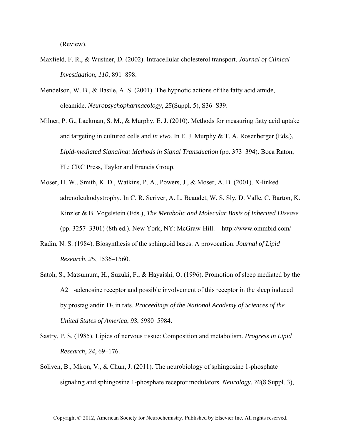(Review).

- Maxfield, F. R., & Wustner, D. (2002). Intracellular cholesterol transport. *Journal of Clinical Investigation*, *110*, 891–898.
- Mendelson, W. B., & Basile, A. S. (2001). The hypnotic actions of the fatty acid amide, oleamide. *Neuropsychopharmacology*, *25*(Suppl. 5), S36–S39.
- Milner, P. G., Lackman, S. M., & Murphy, E. J. (2010). Methods for measuring fatty acid uptake and targeting in cultured cells and *in vivo*. In E. J. Murphy & T. A. Rosenberger (Eds.), *Lipid-mediated Signaling: Methods in Signal Transduction* (pp. 373–394). Boca Raton, FL: CRC Press, Taylor and Francis Group.
- Moser, H. W., Smith, K. D., Watkins, P. A., Powers, J., & Moser, A. B. (2001). X-linked adrenoleukodystrophy. In C. R. Scriver, A. L. Beaudet, W. S. Sly, D. Valle, C. Barton, K. Kinzler & B. Vogelstein (Eds.), *The Metabolic and Molecular Basis of Inherited Disease* (pp. 3257–3301) (8th ed.). New York, NY: McGraw-Hill. http:*//*www.ommbid.com/
- Radin, N. S. (1984). Biosynthesis of the sphingoid bases: A provocation. *Journal of Lipid Research*, *25*, 1536–1560.
- Satoh, S., Matsumura, H., Suzuki, F., & Hayaishi, O. (1996). Promotion of sleep mediated by the A2-adenosine receptor and possible involvement of this receptor in the sleep induced by prostaglandin  $D_2$  in rats. *Proceedings of the National Academy of Sciences of the United States of America*, *93*, 5980–5984.
- Sastry, P. S. (1985). Lipids of nervous tissue: Composition and metabolism. *Progress in Lipid Research*, *24*, 69–176.
- Soliven, B., Miron, V., & Chun, J. (2011). The neurobiology of sphingosine 1-phosphate signaling and sphingosine 1-phosphate receptor modulators. *Neurology*, *76*(8 Suppl. 3),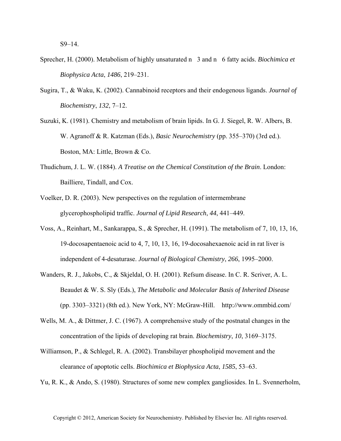- Sprecher, H. (2000). Metabolism of highly unsaturated n 3 and n 6 fatty acids. *Biochimica et Biophysica Acta*, *1486*, 219–231.
- Sugira, T., & Waku, K. (2002). Cannabinoid receptors and their endogenous ligands. *Journal of Biochemistry*, *132*, 7–12.
- Suzuki, K. (1981). Chemistry and metabolism of brain lipids. In G. J. Siegel, R. W. Albers, B. W. Agranoff & R. Katzman (Eds.), *Basic Neurochemistry* (pp. 355–370) (3rd ed.). Boston, MA: Little, Brown & Co.
- Thudichum, J. L. W. (1884). *A Treatise on the Chemical Constitution of the Brain*. London: Bailliere, Tindall, and Cox.
- Voelker, D. R. (2003). New perspectives on the regulation of intermembrane glycerophospholipid traffic. *Journal of Lipid Research*, *44*, 441–449.
- Voss, A., Reinhart, M., Sankarappa, S., & Sprecher, H. (1991). The metabolism of 7, 10, 13, 16, 19-docosapentaenoic acid to 4, 7, 10, 13, 16, 19-docosahexaenoic acid in rat liver is independent of 4-desaturase. *Journal of Biological Chemistry*, *266*, 1995–2000.
- Wanders, R. J., Jakobs, C., & Skjeldal, O. H. (2001). Refsum disease. In C. R. Scriver, A. L. Beaudet & W. S. Sly (Eds.), *The Metabolic and Molecular Basis of Inherited Disease* (pp. 3303–3321) (8th ed.). New York, NY: McGraw-Hill. http:*//*www.ommbid.com/
- Wells, M. A., & Dittmer, J. C. (1967). A comprehensive study of the postnatal changes in the concentration of the lipids of developing rat brain. *Biochemistry*, *10*, 3169–3175.
- Williamson, P., & Schlegel, R. A. (2002). Transbilayer phospholipid movement and the clearance of apoptotic cells. *Biochimica et Biophysica Acta*, *1585*, 53–63.
- Yu, R. K., & Ando, S. (1980). Structures of some new complex gangliosides. In L. Svennerholm,